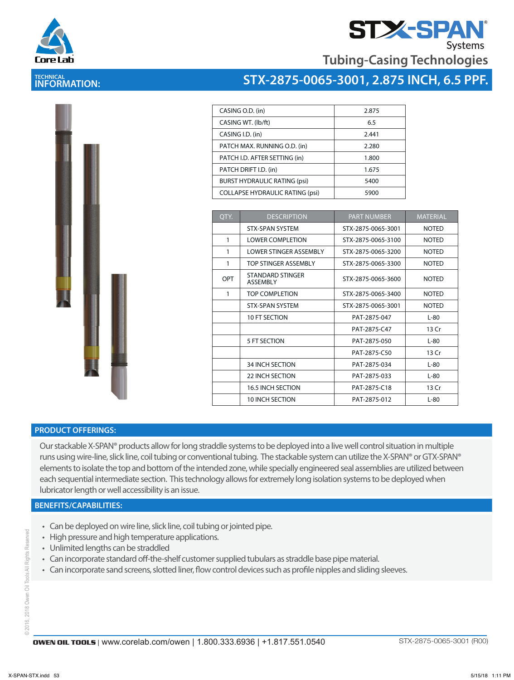

# **STX-SPA**

**Tubing-Casing Technologies**

## **TECHNICAL INFORMATION:**



| CASING O.D. (in)                       | 2.875 |
|----------------------------------------|-------|
| CASING WT. (lb/ft)                     | 6.5   |
| CASING I.D. (in)                       | 2.441 |
| PATCH MAX. RUNNING O.D. (in)           | 2.280 |
| PATCH I.D. AFTER SETTING (in)          | 1.800 |
| PATCH DRIFT I.D. (in)                  | 1.675 |
| <b>BURST HYDRAULIC RATING (psi)</b>    | 5400  |
| <b>COLLAPSE HYDRAULIC RATING (psi)</b> | 5900  |
|                                        |       |

| OTY. | <b>DESCRIPTION</b>                  | <b>PART NUMBER</b> | <b>MATERIAL</b> |
|------|-------------------------------------|--------------------|-----------------|
|      | <b>STX-SPAN SYSTEM</b>              | STX-2875-0065-3001 | <b>NOTED</b>    |
| 1    | <b>LOWER COMPLETION</b>             | STX-2875-0065-3100 | <b>NOTED</b>    |
| 1    | LOWER STINGER ASSEMBLY              | STX-2875-0065-3200 | <b>NOTED</b>    |
| 1    | TOP STINGER ASSEMBLY                | STX-2875-0065-3300 | <b>NOTED</b>    |
| OPT  | STANDARD STINGER<br><b>ASSEMBLY</b> | STX-2875-0065-3600 | <b>NOTED</b>    |
| 1    | <b>TOP COMPLETION</b>               | STX-2875-0065-3400 | <b>NOTED</b>    |
|      | <b>STX-SPAN SYSTEM</b>              | STX-2875-0065-3001 | <b>NOTED</b>    |
|      | 10 FT SECTION                       | PAT-2875-047       | $L-80$          |
|      |                                     | PAT-2875-C47       | 13 Cr           |
|      | 5 FT SECTION                        | PAT-2875-050       | $L-80$          |
|      |                                     | PAT-2875-C50       | 13 Cr           |
|      | <b>34 INCH SECTION</b>              | PAT-2875-034       | $L-80$          |
|      | 22 INCH SECTION                     | PAT-2875-033       | $L-80$          |
|      | <b>16.5 INCH SECTION</b>            | PAT-2875-C18       | 13 Cr           |
|      | 10 INCH SECTION                     | PAT-2875-012       | $L-80$          |



Our stackable X-SPAN® products allow for long straddle systems to be deployed into a live well control situation in multiple runs using wire-line, slick line, coil tubing or conventional tubing. The stackable system can utilize the X-SPAN® or GTX-SPAN® elements to isolate the top and bottom of the intended zone, while specially engineered seal assemblies are utilized between each sequential intermediate section. This technology allows for extremely long isolation systems to be deployed when lubricator length or well accessibility is an issue.

#### **BENEFITS/CAPABILITIES:**

- Can be deployed on wire line, slick line, coil tubing or jointed pipe.
- High pressure and high temperature applications.
- Unlimited lengths can be straddled
- Can incorporate standard off-the-shelf customer supplied tubulars as straddle base pipe material.
- Can incorporate sand screens, slotted liner, flow control devices such as profile nipples and sliding sleeves.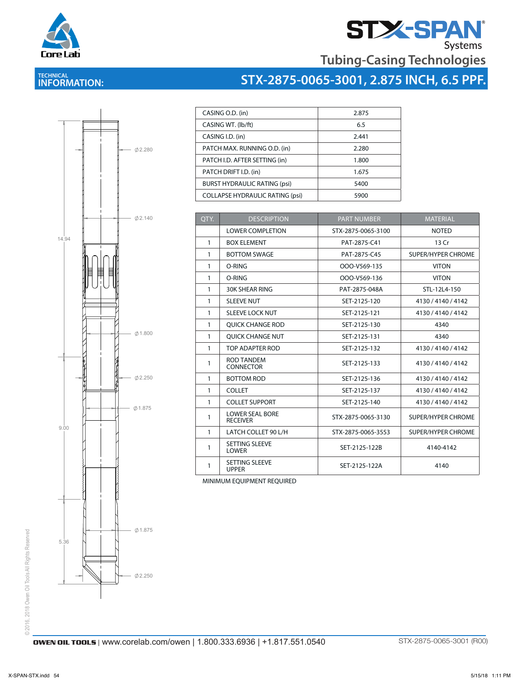

# **STX-SPAN**<br>Tubing-Casing Technologies

## **TECHNICAL INFORMATION:**





| CASING O.D. (in)                       | 2.875 |
|----------------------------------------|-------|
| CASING WT. (lb/ft)                     | 6.5   |
| CASING I.D. (in)                       | 2.441 |
| PATCH MAX. RUNNING O.D. (in)           | 2.280 |
| PATCH I.D. AFTER SETTING (in)          | 1.800 |
| PATCH DRIFT I.D. (in)                  | 1.675 |
| <b>BURST HYDRAULIC RATING (psi)</b>    | 5400  |
| <b>COLLAPSE HYDRAULIC RATING (psi)</b> | 5900  |

| OTY.         | <b>DESCRIPTION</b>                        | <b>PART NUMBER</b> | <b>MATERIAL</b>           |
|--------------|-------------------------------------------|--------------------|---------------------------|
|              | <b>LOWER COMPLETION</b>                   | STX-2875-0065-3100 | <b>NOTED</b>              |
| $\mathbf{1}$ | <b>BOX ELEMENT</b>                        | PAT-2875-C41       | 13 Cr                     |
| 1            | <b>BOTTOM SWAGE</b>                       | PAT-2875-C45       | <b>SUPER/HYPER CHROME</b> |
| 1            | O-RING                                    | OOO-V569-135       | <b>VITON</b>              |
| 1            | O-RING                                    | OOO-V569-136       | <b>VITON</b>              |
| 1            | <b>30K SHEAR RING</b>                     | PAT-2875-048A      | STL-12L4-150              |
| 1            | <b>SLEEVE NUT</b>                         | SET-2125-120       | 4130 / 4140 / 4142        |
| 1            | <b>SLEEVE LOCK NUT</b>                    | SET-2125-121       | 4130 / 4140 / 4142        |
| 1            | <b>OUICK CHANGE ROD</b>                   | SET-2125-130       | 4340                      |
| $\mathbf{1}$ | <b>OUICK CHANGE NUT</b>                   | SET-2125-131       | 4340                      |
| 1            | TOP ADAPTER ROD                           | SET-2125-132       | 4130 / 4140 / 4142        |
| 1            | <b>ROD TANDEM</b><br><b>CONNECTOR</b>     | SET-2125-133       | 4130 / 4140 / 4142        |
| $\mathbf{1}$ | <b>BOTTOM ROD</b>                         | SET-2125-136       | 4130 / 4140 / 4142        |
| 1            | <b>COLLET</b>                             | SET-2125-137       | 4130 / 4140 / 4142        |
| $\mathbf{1}$ | <b>COLLET SUPPORT</b>                     | SET-2125-140       | 4130 / 4140 / 4142        |
| 1            | <b>LOWER SEAL BORE</b><br><b>RECEIVER</b> | STX-2875-0065-3130 | <b>SUPER/HYPER CHROME</b> |
| 1            | LATCH COLLET 90 L/H                       | STX-2875-0065-3553 | <b>SUPER/HYPER CHROME</b> |
| 1            | <b>SETTING SLEEVE</b><br><b>LOWER</b>     | SET-2125-122B      | 4140-4142                 |
| 1            | <b>SETTING SLEEVE</b><br><b>UPPER</b>     | SET-2125-122A      | 4140                      |

MINIMUM EQUIPMENT REQUIRED<br>1 MINIMUM EQUIPMENT REQUIRED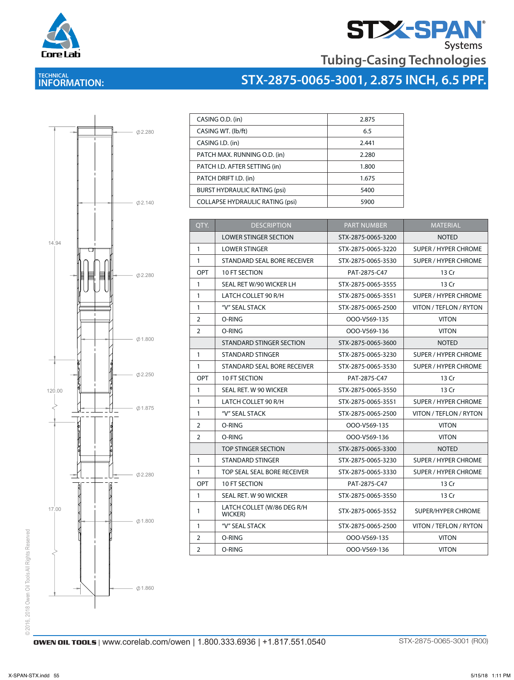

# **STAN**<br>Tubing-Casing Technologies

## **TECHNICAL INFORMATION:**





| CASING O.D. (in)                       | 2.875 |
|----------------------------------------|-------|
| CASING WT. (lb/ft)                     | 6.5   |
| CASING I.D. (in)                       | 2.441 |
| PATCH MAX. RUNNING O.D. (in)           | 2.280 |
| PATCH I.D. AFTER SETTING (in)          | 1.800 |
| PATCH DRIFT I.D. (in)                  | 1.675 |
| <b>BURST HYDRAULIC RATING (psi)</b>    | 5400  |
| <b>COLLAPSE HYDRAULIC RATING (psi)</b> | 5900  |

| QTY.           | <b>DESCRIPTION</b>                    | <b>PART NUMBER</b> | <b>MATERIAL</b>             |
|----------------|---------------------------------------|--------------------|-----------------------------|
|                | <b>LOWER STINGER SECTION</b>          | STX-2875-0065-3200 | <b>NOTED</b>                |
| 1              | <b>LOWER STINGER</b>                  | STX-2875-0065-3220 | <b>SUPER / HYPER CHROME</b> |
| 1              | STANDARD SEAL BORE RECEIVER           | STX-2875-0065-3530 | SUPER / HYPER CHROME        |
| OPT            | 10 FT SECTION                         | PAT-2875-C47       | 13 Cr                       |
| $\mathbf{1}$   | SEAL RET W/90 WICKER LH               | STX-2875-0065-3555 | 13 Cr                       |
| $\mathbf{1}$   | LATCH COLLET 90 R/H                   | STX-2875-0065-3551 | <b>SUPER / HYPER CHROME</b> |
| 1              | "V" SEAL STACK                        | STX-2875-0065-2500 | VITON / TEFLON / RYTON      |
| $\overline{2}$ | O-RING                                | OOO-V569-135       | <b>VITON</b>                |
| $\overline{2}$ | O-RING                                | OOO-V569-136       | <b>VITON</b>                |
|                | STANDARD STINGER SECTION              | STX-2875-0065-3600 | <b>NOTED</b>                |
| $\mathbf{1}$   | STANDARD STINGER                      | STX-2875-0065-3230 | <b>SUPER / HYPER CHROME</b> |
| $\mathbf{1}$   | STANDARD SEAL BORE RECEIVER           | STX-2875-0065-3530 | SUPER / HYPER CHROME        |
| <b>OPT</b>     | 10 FT SECTION                         | PAT-2875-C47       | 13 Cr                       |
| $\mathbf{1}$   | SEAL RET. W 90 WICKER                 | STX-2875-0065-3550 | 13 Cr                       |
| 1              | LATCH COLLET 90 R/H                   | STX-2875-0065-3551 | <b>SUPER / HYPER CHROME</b> |
| $\mathbf{1}$   | "V" SEAL STACK                        | STX-2875-0065-2500 | VITON / TEFLON / RYTON      |
| 2              | O-RING                                | OOO-V569-135       | <b>VITON</b>                |
| 2              | O-RING                                | OOO-V569-136       | <b>VITON</b>                |
|                | TOP STINGER SECTION                   | STX-2875-0065-3300 | <b>NOTED</b>                |
| $\mathbf{1}$   | <b>STANDARD STINGER</b>               | STX-2875-0065-3230 | SUPER / HYPER CHROME        |
| $\mathbf{1}$   | TOP SEAL SEAL BORE RECEIVER           | STX-2875-0065-3330 | <b>SUPER / HYPER CHROME</b> |
| <b>OPT</b>     | 10 FT SECTION                         | PAT-2875-C47       | 13 Cr                       |
| $\mathbf{1}$   | SEAL RET. W 90 WICKER                 | STX-2875-0065-3550 | 13 Cr                       |
| 1              | LATCH COLLET (W/86 DEG R/H<br>WICKER) | STX-2875-0065-3552 | SUPER/HYPER CHROME          |
| $\mathbf{1}$   | "V" SEAL STACK                        | STX-2875-0065-2500 | VITON / TEFLON / RYTON      |
| 2              | O-RING                                | OOO-V569-135       | <b>VITON</b>                |
| $\overline{2}$ | O-RING                                | OOO-V569-136       | <b>VITON</b>                |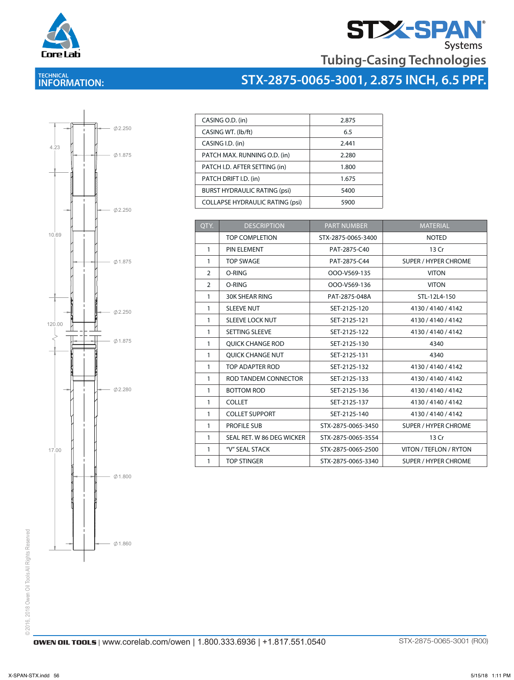

# **STZ-SPAN**<br>Tubing-Casing Technologies

## **TECHNICAL INFORMATION:**





| CASING O.D. (in)                       | 2.875 |
|----------------------------------------|-------|
| CASING WT. (lb/ft)                     | 6.5   |
| CASING I.D. (in)                       | 2.441 |
| PATCH MAX. RUNNING O.D. (in)           | 2.280 |
| PATCH I.D. AFTER SETTING (in)          | 1.800 |
| PATCH DRIFT I.D. (in)                  | 1.675 |
| <b>BURST HYDRAULIC RATING (psi)</b>    | 5400  |
| <b>COLLAPSE HYDRAULIC RATING (psi)</b> | 5900  |

| QTY.          | <b>DESCRIPTION</b>        | <b>PART NUMBER</b> | <b>MATERIAL</b>             |
|---------------|---------------------------|--------------------|-----------------------------|
|               | TOP COMPI FTION           | STX-2875-0065-3400 | <b>NOTED</b>                |
| $\mathbf{1}$  | PIN ELEMENT               | PAT-2875-C40       | 13 Cr                       |
| 1             | <b>TOP SWAGE</b>          | PAT-2875-C44       | SUPER / HYPER CHROME        |
| $\mathcal{P}$ | O-RING                    | OOO-V569-135       | <b>VITON</b>                |
| $\mathcal{P}$ | O-RING                    | OOO-V569-136       | <b>VITON</b>                |
| $\mathbf{1}$  | <b>30K SHEAR RING</b>     | PAT-2875-048A      | STL-12L4-150                |
| 1             | <b>SLEEVE NUT</b>         | SET-2125-120       | 4130 / 4140 / 4142          |
| 1             | <b>SLEEVE LOCK NUT</b>    | SET-2125-121       | 4130 / 4140 / 4142          |
| $\mathbf{1}$  | <b>SETTING SLEEVE</b>     | SET-2125-122       | 4130 / 4140 / 4142          |
| 1             | <b>OUICK CHANGE ROD</b>   | SET-2125-130       | 4340                        |
| 1             | <b>OUICK CHANGE NUT</b>   | SET-2125-131       | 4340                        |
| $\mathbf{1}$  | TOP ADAPTER ROD           | SET-2125-132       | 4130 / 4140 / 4142          |
| 1             | ROD TANDEM CONNECTOR      | SET-2125-133       | 4130 / 4140 / 4142          |
| 1             | <b>BOTTOM ROD</b>         | SET-2125-136       | 4130 / 4140 / 4142          |
| $\mathbf{1}$  | <b>COLLET</b>             | SET-2125-137       | 4130 / 4140 / 4142          |
| $\mathbf{1}$  | <b>COLLET SUPPORT</b>     | SET-2125-140       | 4130 / 4140 / 4142          |
| $\mathbf{1}$  | PROFILE SUB               | STX-2875-0065-3450 | <b>SUPER / HYPER CHROME</b> |
| 1             | SEAL RET. W 86 DEG WICKER | STX-2875-0065-3554 | 13 Cr                       |
| 1             | "V" SEAL STACK            | STX-2875-0065-2500 | VITON / TEFLON / RYTON      |
| 1             | <b>TOP STINGER</b>        | STX-2875-0065-3340 | <b>SUPER / HYPER CHROME</b> |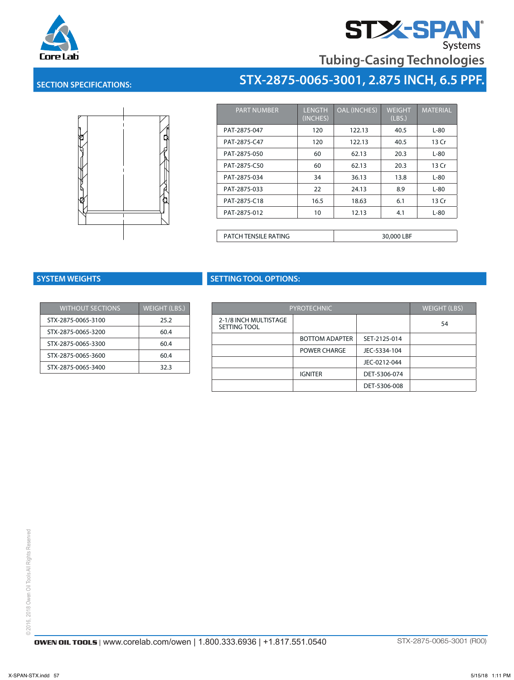

# **STZ-SPAN**<br>Tubing-Casing Technologies

#### **SECTION SPECIFICATIONS:**



| <b>PART NUMBER</b>          | <b>LENGTH</b><br>(INCHES) | <b>OAL (INCHES)</b> | <b>WEIGHT</b><br>(LBS.) | <b>MATERIAL</b> |
|-----------------------------|---------------------------|---------------------|-------------------------|-----------------|
| PAT-2875-047                | 120                       | 122.13              | 40.5                    | $L-80$          |
| PAT-2875-C47                | 120                       | 122.13              | 40.5                    | 13 Cr           |
| PAT-2875-050                | 60                        | 62.13               | 20.3                    | L-80            |
| PAT-2875-C50                | 60                        | 62.13               | 20.3                    | 13 Cr           |
| PAT-2875-034                | 34                        | 36.13               | 13.8                    | $L-80$          |
| PAT-2875-033                | 22                        | 24.13               | 8.9                     | $L-80$          |
| PAT-2875-C18                | 16.5                      | 18.63               | 6.1                     | 13 Cr           |
| PAT-2875-012                | 10                        | 12.13               | 4.1                     | L-80            |
|                             |                           |                     |                         |                 |
| <b>PATCH TENSILE RATING</b> |                           |                     | 30,000 LBF              |                 |

**STX-2875-0065-3001, 2.875 INCH, 6.5 PPF.**

| <b>WITHOUT SECTIONS</b> | <b>WEIGHT (LBS.)</b> |
|-------------------------|----------------------|
| STX-2875-0065-3100      | 25.2                 |
| STX-2875-0065-3200      | 60.4                 |
| STX-2875-0065-3300      | 60.4                 |
| STX-2875-0065-3600      | 60.4                 |
| STX-2875-0065-3400      | 32.3                 |

### **SYSTEM WEIGHTS SETTING TOOL OPTIONS:**

| <b>PYROTECHNIC</b>                    |                       |              | <b>WEIGHT (LBS)</b> |
|---------------------------------------|-----------------------|--------------|---------------------|
| 2-1/8 INCH MULTISTAGE<br>SETTING TOOL |                       |              | 54                  |
|                                       | <b>BOTTOM ADAPTER</b> | SET-2125-014 |                     |
|                                       | <b>POWER CHARGE</b>   | JEC-5334-104 |                     |
|                                       |                       | JEC-0212-044 |                     |
|                                       | <b>IGNITER</b>        | DET-5306-074 |                     |
|                                       |                       | DET-5306-008 |                     |